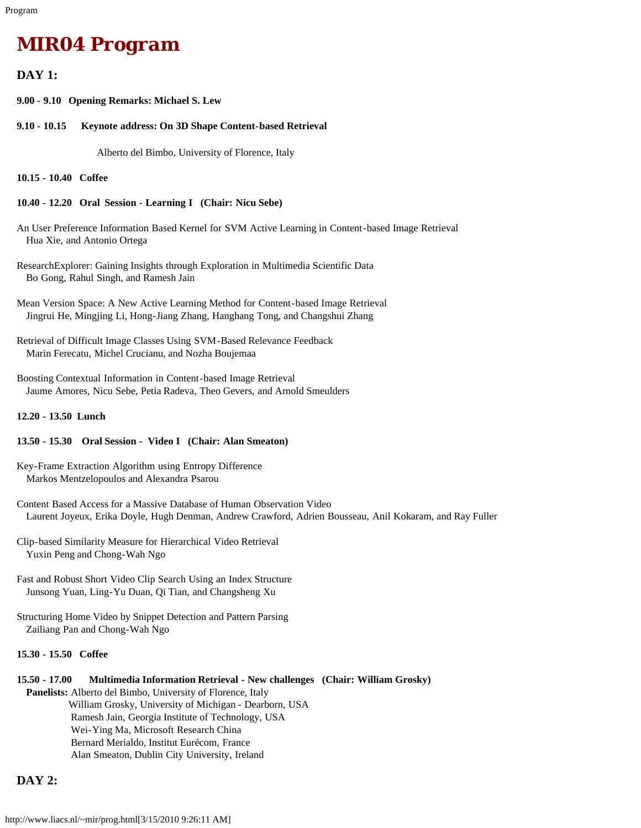# *MIR04 Program*

## **DAY 1:**

**9.00 - 9.10 Opening Remarks: Michael S. Lew**

**9.10 - 10.15 Keynote address: On 3D Shape Content-based Retrieval**

Alberto del Bimbo, University of Florence, Italy

**10.15 - 10.40 Coffee**

#### **10.40 - 12.20 Oral Session - Learning I (Chair: Nicu Sebe)**

- An User Preference Information Based Kernel for SVM Active Learning in Content-based Image Retrieval Hua Xie, and Antonio Ortega
- ResearchExplorer: Gaining Insights through Exploration in Multimedia Scientific Data Bo Gong, Rahul Singh, and Ramesh Jain
- Mean Version Space: A New Active Learning Method for Content-based Image Retrieval Jingrui He, Mingjing Li, Hong-Jiang Zhang, Hanghang Tong, and Changshui Zhang
- Retrieval of Difficult Image Classes Using SVM-Based Relevance Feedback Marin Ferecatu, Michel Crucianu, and Nozha Boujemaa
- Boosting Contextual Information in Content-based Image Retrieval Jaume Amores, Nicu Sebe, Petia Radeva, Theo Gevers, and Arnold Smeulders

#### **12.20 - 13.50 Lunch**

#### **13.50 - 15.30 Oral Session - Video I (Chair: Alan Smeaton)**

Key-Frame Extraction Algorithm using Entropy Difference Markos Mentzelopoulos and Alexandra Psarou

- Content Based Access for a Massive Database of Human Observation Video Laurent Joyeux, Erika Doyle, Hugh Denman, Andrew Crawford, Adrien Bousseau, Anil Kokaram, and Ray Fuller
- Clip-based Similarity Measure for Hierarchical Video Retrieval Yuxin Peng and Chong-Wah Ngo
- Fast and Robust Short Video Clip Search Using an Index Structure Junsong Yuan, Ling-Yu Duan, Qi Tian, and Changsheng Xu
- Structuring Home Video by Snippet Detection and Pattern Parsing Zailiang Pan and Chong-Wah Ngo

### **15.30 - 15.50 Coffee**

## **15.50 - 17.00 Multimedia Information Retrieval - New challenges (Chair: William Grosky)**

 **Panelists:** Alberto del Bimbo, University of Florence, Italy William Grosky, University of Michigan - Dearborn, USA Ramesh Jain, Georgia Institute of Technology, USA Wei-Ying Ma, Microsoft Research China Bernard Merialdo, Institut Eurécom, France Alan Smeaton, Dublin City University, Ireland

# **DAY 2:**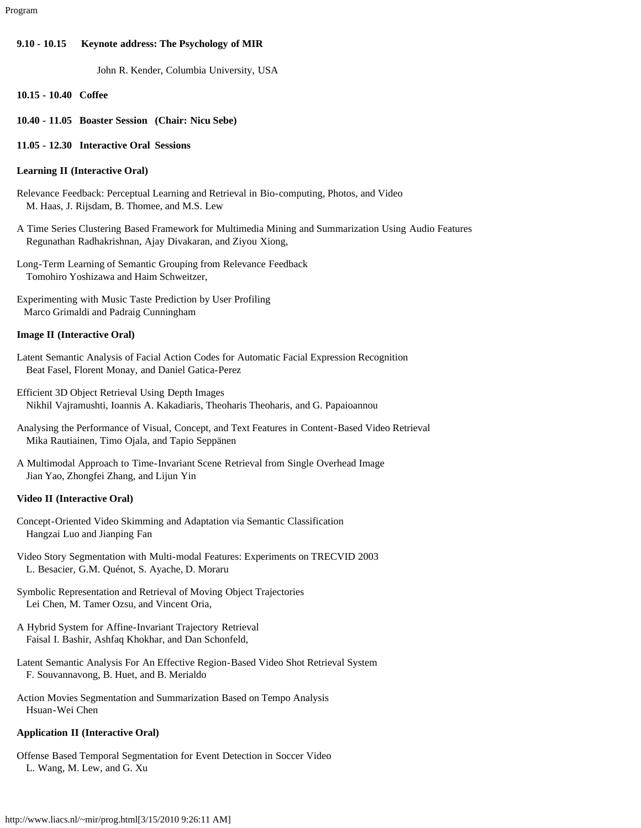#### **9.10 - 10.15 Keynote address: The Psychology of MIR**

John R. Kender, Columbia University, USA

- **10.15 10.40 Coffee**
- **10.40 11.05 Boaster Session (Chair: Nicu Sebe)**
- **11.05 12.30 Interactive Oral Sessions**

#### **Learning II (Interactive Oral)**

- Relevance Feedback: Perceptual Learning and Retrieval in Bio-computing, Photos, and Video M. Haas, J. Rijsdam, B. Thomee, and M.S. Lew
- A Time Series Clustering Based Framework for Multimedia Mining and Summarization Using Audio Features Regunathan Radhakrishnan, Ajay Divakaran, and Ziyou Xiong,
- Long-Term Learning of Semantic Grouping from Relevance Feedback Tomohiro Yoshizawa and Haim Schweitzer,

Experimenting with Music Taste Prediction by User Profiling Marco Grimaldi and Padraig Cunningham

#### **Image II (Interactive Oral)**

- Latent Semantic Analysis of Facial Action Codes for Automatic Facial Expression Recognition Beat Fasel, Florent Monay, and Daniel Gatica-Perez
- Efficient 3D Object Retrieval Using Depth Images Nikhil Vajramushti, Ioannis A. Kakadiaris, Theoharis Theoharis, and G. Papaioannou
- Analysing the Performance of Visual, Concept, and Text Features in Content-Based Video Retrieval Mika Rautiainen, Timo Ojala, and Tapio Seppänen
- A Multimodal Approach to Time-Invariant Scene Retrieval from Single Overhead Image Jian Yao, Zhongfei Zhang, and Lijun Yin

#### **Video II (Interactive Oral)**

- Concept-Oriented Video Skimming and Adaptation via Semantic Classification Hangzai Luo and Jianping Fan
- Video Story Segmentation with Multi-modal Features: Experiments on TRECVID 2003 L. Besacier, G.M. Quénot, S. Ayache, D. Moraru
- Symbolic Representation and Retrieval of Moving Object Trajectories Lei Chen, M. Tamer Ozsu, and Vincent Oria,
- A Hybrid System for Affine-Invariant Trajectory Retrieval Faisal I. Bashir, Ashfaq Khokhar, and Dan Schonfeld,
- Latent Semantic Analysis For An Effective Region-Based Video Shot Retrieval System F. Souvannavong, B. Huet, and B. Merialdo
- Action Movies Segmentation and Summarization Based on Tempo Analysis Hsuan-Wei Chen

#### **Application II (Interactive Oral)**

Offense Based Temporal Segmentation for Event Detection in Soccer Video L. Wang, M. Lew, and G. Xu